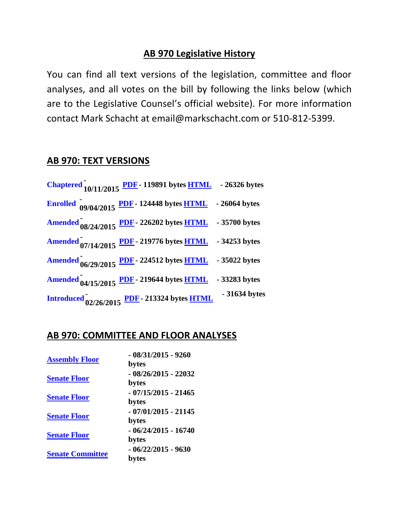## **AB 970 Legislative History**

You can find all text versions of the legislation, committee and floor analyses, and all votes on the bill by following the links below (which are to the Legislative Counsel's official website). For more information contact Mark Schacht at email@markschacht.com or 510-812-5399.

## **AB 970: TEXT VERSIONS**

| Chaptered $\frac{10}{10/11/2015}$ PDF - 119891 bytes HTML - 26326 bytes |               |
|-------------------------------------------------------------------------|---------------|
| Enrolled $09/04/2015$ PDF - 124448 bytes HTML - 26064 bytes             |               |
| Amended 08/24/2015 PDF - 226202 bytes HTML - 35700 bytes                |               |
| Amended 07/14/2015 PDF - 219776 bytes HTML - 34253 bytes                |               |
| Amended $06/29/2015$ PDF - 224512 bytes HTML - 35022 bytes              |               |
| Amended 04/15/2015 PDF - 219644 bytes HTML - 33283 bytes                |               |
| <b>Introduced</b> 02/26/2015 PDF - 213324 bytes <b>HTML</b>             | - 31634 bytes |

## **AB 970: COMMITTEE AND FLOOR ANALYSES**

| <b>Assembly Floor</b>   | $-08/31/2015 - 9260$<br>bytes  |
|-------------------------|--------------------------------|
| <b>Senate Floor</b>     | $-08/26/2015 - 22032$<br>bytes |
| <b>Senate Floor</b>     | $-07/15/2015 - 21465$<br>bytes |
| <b>Senate Floor</b>     | $-07/01/2015 - 21145$<br>bytes |
| <b>Senate Floor</b>     | $-06/24/2015 - 16740$<br>bytes |
| <b>Senate Committee</b> | $-06/22/2015 - 9630$<br>bytes  |